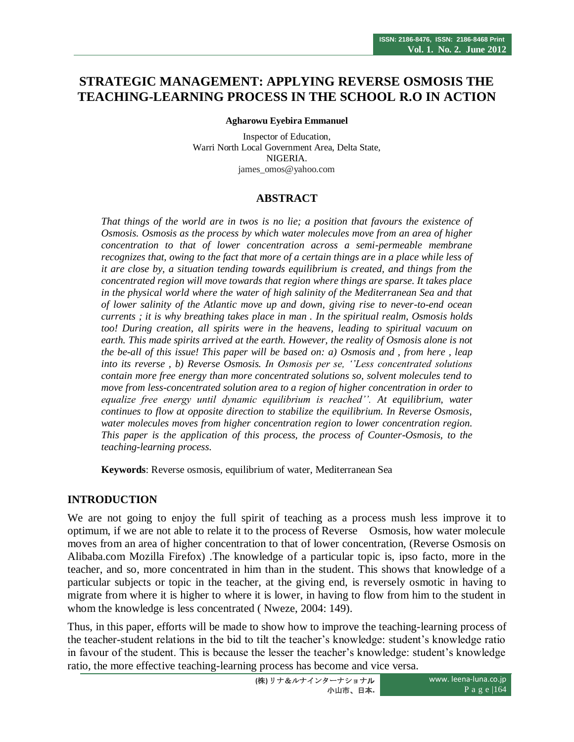# **STRATEGIC MANAGEMENT: APPLYING REVERSE OSMOSIS THE TEACHING-LEARNING PROCESS IN THE SCHOOL R.O IN ACTION**

#### **Agharowu Eyebira Emmanuel**

Inspector of Education, Warri North Local Government Area, Delta State, NIGERIA. james\_omos@yahoo.com

#### **ABSTRACT**

*That things of the world are in twos is no lie; a position that favours the existence of Osmosis. Osmosis as the process by which water molecules move from an area of higher concentration to that of lower concentration across a semi-permeable membrane recognizes that, owing to the fact that more of a certain things are in a place while less of it are close by, a situation tending towards equilibrium is created, and things from the concentrated region will move towards that region where things are sparse. It takes place in the physical world where the water of high salinity of the Mediterranean Sea and that of lower salinity of the Atlantic move up and down, giving rise to never-to-end ocean currents ; it is why breathing takes place in man . In the spiritual realm, Osmosis holds too! During creation, all spirits were in the heavens, leading to spiritual vacuum on earth. This made spirits arrived at the earth. However, the reality of Osmosis alone is not the be-all of this issue! This paper will be based on: a) Osmosis and , from here , leap into its reverse , b) Reverse Osmosis. In Osmosis per se, ''Less concentrated solutions contain more free energy than more concentrated solutions so, solvent molecules tend to move from less-concentrated solution area to a region of higher concentration in order to equalize free energy until dynamic equilibrium is reached''. At equilibrium, water continues to flow at opposite direction to stabilize the equilibrium. In Reverse Osmosis, water molecules moves from higher concentration region to lower concentration region. This paper is the application of this process, the process of Counter-Osmosis, to the teaching-learning process.*

**Keywords**: Reverse osmosis, equilibrium of water, Mediterranean Sea

#### **INTRODUCTION**

We are not going to enjoy the full spirit of teaching as a process mush less improve it to optimum, if we are not able to relate it to the process of Reverse Osmosis, how water molecule moves from an area of higher concentration to that of lower concentration, (Reverse Osmosis on Alibaba.com Mozilla Firefox) .The knowledge of a particular topic is, ipso facto, more in the teacher, and so, more concentrated in him than in the student. This shows that knowledge of a particular subjects or topic in the teacher, at the giving end, is reversely osmotic in having to migrate from where it is higher to where it is lower, in having to flow from him to the student in whom the knowledge is less concentrated ( Nweze, 2004: 149).

Thus, in this paper, efforts will be made to show how to improve the teaching-learning process of the teacher-student relations in the bid to tilt the teacher"s knowledge: student"s knowledge ratio in favour of the student. This is because the lesser the teacher"s knowledge: student"s knowledge ratio, the more effective teaching-learning process has become and vice versa.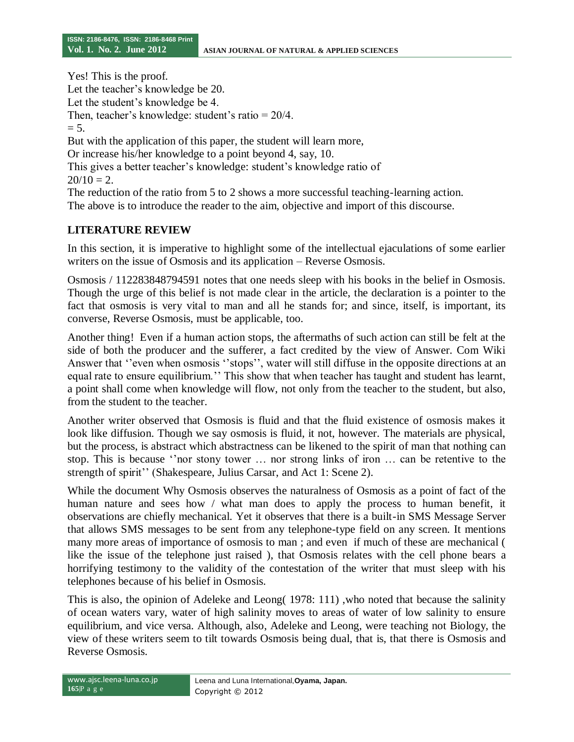Yes! This is the proof. Let the teacher's knowledge be 20. Let the student's knowledge be 4. Then, teacher's knowledge: student's ratio  $= 20/4$ .  $= 5.$ But with the application of this paper, the student will learn more, Or increase his/her knowledge to a point beyond 4, say, 10. This gives a better teacher's knowledge: student's knowledge ratio of  $20/10 = 2$ . The reduction of the ratio from 5 to 2 shows a more successful teaching-learning action. The above is to introduce the reader to the aim, objective and import of this discourse.

## **LITERATURE REVIEW**

In this section, it is imperative to highlight some of the intellectual ejaculations of some earlier writers on the issue of Osmosis and its application – Reverse Osmosis.

Osmosis / 112283848794591 notes that one needs sleep with his books in the belief in Osmosis. Though the urge of this belief is not made clear in the article, the declaration is a pointer to the fact that osmosis is very vital to man and all he stands for; and since, itself, is important, its converse, Reverse Osmosis, must be applicable, too.

Another thing! Even if a human action stops, the aftermaths of such action can still be felt at the side of both the producer and the sufferer, a fact credited by the view of Answer. Com Wiki Answer that "even when osmosis "stops", water will still diffuse in the opposite directions at an equal rate to ensure equilibrium." This show that when teacher has taught and student has learnt, a point shall come when knowledge will flow, not only from the teacher to the student, but also, from the student to the teacher.

Another writer observed that Osmosis is fluid and that the fluid existence of osmosis makes it look like diffusion. Though we say osmosis is fluid, it not, however. The materials are physical, but the process, is abstract which abstractness can be likened to the spirit of man that nothing can stop. This is because "nor stony tower ... nor strong links of iron ... can be retentive to the strength of spirit" (Shakespeare, Julius Carsar, and Act 1: Scene 2).

While the document Why Osmosis observes the naturalness of Osmosis as a point of fact of the human nature and sees how / what man does to apply the process to human benefit, it observations are chiefly mechanical. Yet it observes that there is a built-in SMS Message Server that allows SMS messages to be sent from any telephone-type field on any screen. It mentions many more areas of importance of osmosis to man ; and even if much of these are mechanical ( like the issue of the telephone just raised ), that Osmosis relates with the cell phone bears a horrifying testimony to the validity of the contestation of the writer that must sleep with his telephones because of his belief in Osmosis.

This is also, the opinion of Adeleke and Leong( 1978: 111) ,who noted that because the salinity of ocean waters vary, water of high salinity moves to areas of water of low salinity to ensure equilibrium, and vice versa. Although, also, Adeleke and Leong, were teaching not Biology, the view of these writers seem to tilt towards Osmosis being dual, that is, that there is Osmosis and Reverse Osmosis.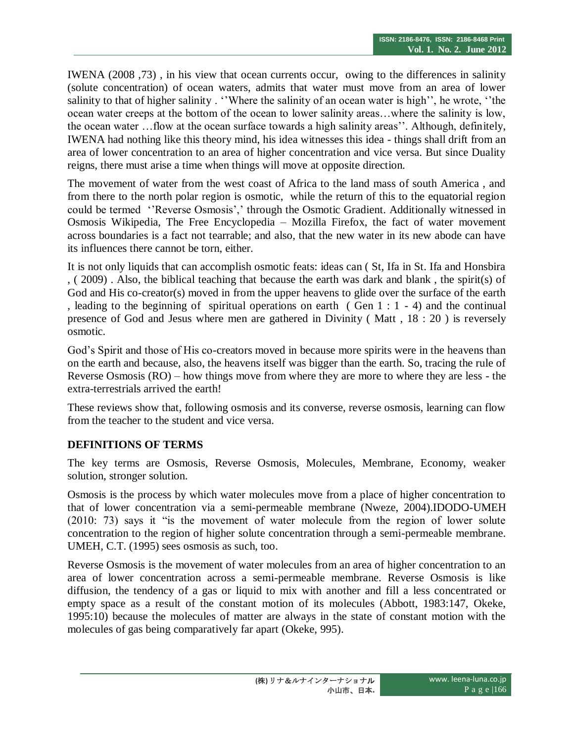IWENA (2008 ,73) , in his view that ocean currents occur, owing to the differences in salinity (solute concentration) of ocean waters, admits that water must move from an area of lower salinity to that of higher salinity . "Where the salinity of an ocean water is high", he wrote, "the ocean water creeps at the bottom of the ocean to lower salinity areas…where the salinity is low, the ocean water ... flow at the ocean surface towards a high salinity areas". Although, definitely, IWENA had nothing like this theory mind, his idea witnesses this idea - things shall drift from an area of lower concentration to an area of higher concentration and vice versa. But since Duality reigns, there must arise a time when things will move at opposite direction.

The movement of water from the west coast of Africa to the land mass of south America , and from there to the north polar region is osmotic, while the return of this to the equatorial region could be termed "Reverse Osmosis',' through the Osmotic Gradient. Additionally witnessed in Osmosis Wikipedia, The Free Encyclopedia – Mozilla Firefox, the fact of water movement across boundaries is a fact not tearrable; and also, that the new water in its new abode can have its influences there cannot be torn, either.

It is not only liquids that can accomplish osmotic feats: ideas can ( St, Ifa in St. Ifa and Honsbira , ( 2009) . Also, the biblical teaching that because the earth was dark and blank , the spirit(s) of God and His co-creator(s) moved in from the upper heavens to glide over the surface of the earth , leading to the beginning of spiritual operations on earth (Gen  $1:1 - 4$ ) and the continual presence of God and Jesus where men are gathered in Divinity ( Matt , 18 : 20 ) is reversely osmotic.

God"s Spirit and those of His co-creators moved in because more spirits were in the heavens than on the earth and because, also, the heavens itself was bigger than the earth. So, tracing the rule of Reverse Osmosis (RO) – how things move from where they are more to where they are less - the extra-terrestrials arrived the earth!

These reviews show that, following osmosis and its converse, reverse osmosis, learning can flow from the teacher to the student and vice versa.

## **DEFINITIONS OF TERMS**

The key terms are Osmosis, Reverse Osmosis, Molecules, Membrane, Economy, weaker solution, stronger solution.

Osmosis is the process by which water molecules move from a place of higher concentration to that of lower concentration via a semi-permeable membrane (Nweze, 2004).IDODO-UMEH (2010: 73) says it "is the movement of water molecule from the region of lower solute concentration to the region of higher solute concentration through a semi-permeable membrane. UMEH, C.T. (1995) sees osmosis as such, too.

Reverse Osmosis is the movement of water molecules from an area of higher concentration to an area of lower concentration across a semi-permeable membrane. Reverse Osmosis is like diffusion, the tendency of a gas or liquid to mix with another and fill a less concentrated or empty space as a result of the constant motion of its molecules (Abbott, 1983:147, Okeke, 1995:10) because the molecules of matter are always in the state of constant motion with the molecules of gas being comparatively far apart (Okeke, 995).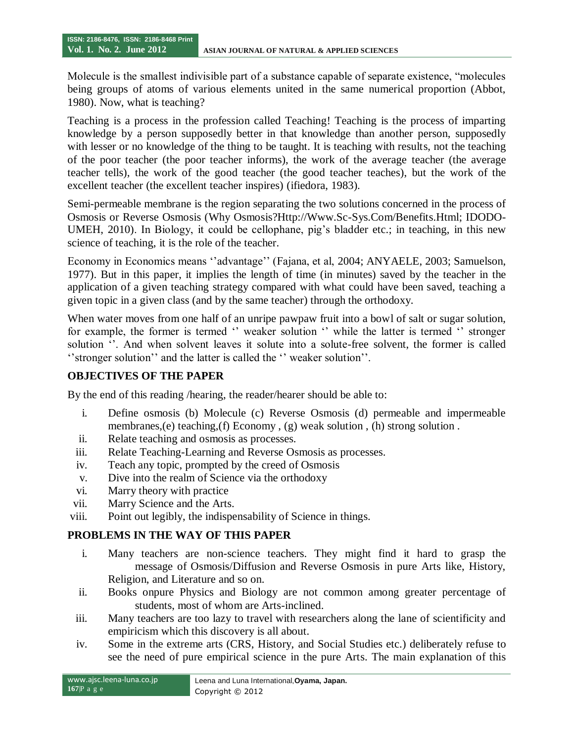Molecule is the smallest indivisible part of a substance capable of separate existence, "molecules being groups of atoms of various elements united in the same numerical proportion (Abbot, 1980). Now, what is teaching?

Teaching is a process in the profession called Teaching! Teaching is the process of imparting knowledge by a person supposedly better in that knowledge than another person, supposedly with lesser or no knowledge of the thing to be taught. It is teaching with results, not the teaching of the poor teacher (the poor teacher informs), the work of the average teacher (the average teacher tells), the work of the good teacher (the good teacher teaches), but the work of the excellent teacher (the excellent teacher inspires) (ifiedora, 1983).

Semi-permeable membrane is the region separating the two solutions concerned in the process of Osmosis or Reverse Osmosis (Why Osmosis?Http://Www.Sc-Sys.Com/Benefits.Html; IDODO-UMEH, 2010). In Biology, it could be cellophane, pig"s bladder etc.; in teaching, in this new science of teaching, it is the role of the teacher.

Economy in Economics means "advantage" (Fajana, et al, 2004; ANYAELE, 2003; Samuelson, 1977). But in this paper, it implies the length of time (in minutes) saved by the teacher in the application of a given teaching strategy compared with what could have been saved, teaching a given topic in a given class (and by the same teacher) through the orthodoxy.

When water moves from one half of an unripe pawpaw fruit into a bowl of salt or sugar solution, for example, the former is termed " weaker solution " while the latter is termed " stronger solution ". And when solvent leaves it solute into a solute-free solvent, the former is called " stronger solution" and the latter is called the "weaker solution".

### **OBJECTIVES OF THE PAPER**

By the end of this reading /hearing, the reader/hearer should be able to:

- i. Define osmosis (b) Molecule (c) Reverse Osmosis (d) permeable and impermeable membranes,(e) teaching,(f) Economy , (g) weak solution , (h) strong solution .
- ii. Relate teaching and osmosis as processes.
- iii. Relate Teaching-Learning and Reverse Osmosis as processes.
- iv. Teach any topic, prompted by the creed of Osmosis
- v. Dive into the realm of Science via the orthodoxy
- vi. Marry theory with practice
- vii. Marry Science and the Arts.
- viii. Point out legibly, the indispensability of Science in things.

## **PROBLEMS IN THE WAY OF THIS PAPER**

- i. Many teachers are non-science teachers. They might find it hard to grasp the message of Osmosis/Diffusion and Reverse Osmosis in pure Arts like, History, Religion, and Literature and so on.
- ii. Books onpure Physics and Biology are not common among greater percentage of students, most of whom are Arts-inclined.
- iii. Many teachers are too lazy to travel with researchers along the lane of scientificity and empiricism which this discovery is all about.
- iv. Some in the extreme arts (CRS, History, and Social Studies etc.) deliberately refuse to see the need of pure empirical science in the pure Arts. The main explanation of this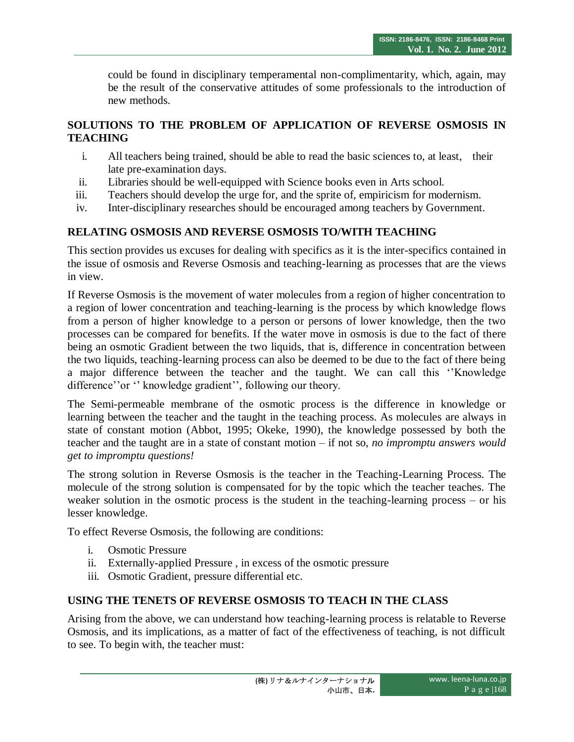could be found in disciplinary temperamental non-complimentarity, which, again, may be the result of the conservative attitudes of some professionals to the introduction of new methods.

## **SOLUTIONS TO THE PROBLEM OF APPLICATION OF REVERSE OSMOSIS IN TEACHING**

- i. All teachers being trained, should be able to read the basic sciences to, at least, their late pre-examination days.
- ii. Libraries should be well-equipped with Science books even in Arts school.
- iii. Teachers should develop the urge for, and the sprite of, empiricism for modernism.
- iv. Inter-disciplinary researches should be encouraged among teachers by Government.

## **RELATING OSMOSIS AND REVERSE OSMOSIS TO/WITH TEACHING**

This section provides us excuses for dealing with specifics as it is the inter-specifics contained in the issue of osmosis and Reverse Osmosis and teaching-learning as processes that are the views in view.

If Reverse Osmosis is the movement of water molecules from a region of higher concentration to a region of lower concentration and teaching-learning is the process by which knowledge flows from a person of higher knowledge to a person or persons of lower knowledge, then the two processes can be compared for benefits. If the water move in osmosis is due to the fact of there being an osmotic Gradient between the two liquids, that is, difference in concentration between the two liquids, teaching-learning process can also be deemed to be due to the fact of there being a major difference between the teacher and the taught. We can call this ""Knowledge difference" or " knowledge gradient", following our theory.

The Semi-permeable membrane of the osmotic process is the difference in knowledge or learning between the teacher and the taught in the teaching process. As molecules are always in state of constant motion (Abbot, 1995; Okeke, 1990), the knowledge possessed by both the teacher and the taught are in a state of constant motion – if not so, *no impromptu answers would get to impromptu questions!*

The strong solution in Reverse Osmosis is the teacher in the Teaching-Learning Process. The molecule of the strong solution is compensated for by the topic which the teacher teaches. The weaker solution in the osmotic process is the student in the teaching-learning process – or his lesser knowledge.

To effect Reverse Osmosis, the following are conditions:

- i. Osmotic Pressure
- ii. Externally-applied Pressure , in excess of the osmotic pressure
- iii. Osmotic Gradient, pressure differential etc.

## **USING THE TENETS OF REVERSE OSMOSIS TO TEACH IN THE CLASS**

Arising from the above, we can understand how teaching-learning process is relatable to Reverse Osmosis, and its implications, as a matter of fact of the effectiveness of teaching, is not difficult to see. To begin with, the teacher must: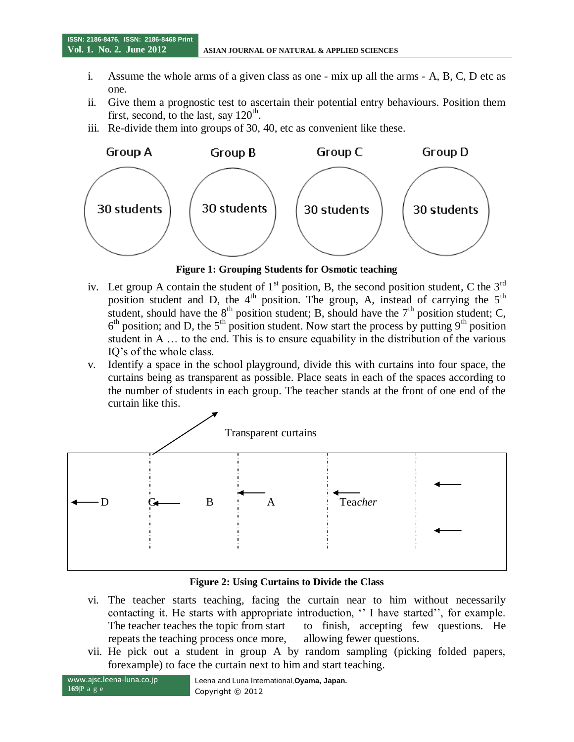- i. Assume the whole arms of a given class as one mix up all the arms A, B, C, D etc as one.
- ii. Give them a prognostic test to ascertain their potential entry behaviours. Position them first, second, to the last, say  $120<sup>th</sup>$ .
- iii. Re-divide them into groups of 30, 40, etc as convenient like these.



**Figure 1: Grouping Students for Osmotic teaching**

- iv. Let group A contain the student of  $1<sup>st</sup>$  position, B, the second position student, C the  $3<sup>rd</sup>$ position student and D, the  $4<sup>th</sup>$  position. The group, A, instead of carrying the  $5<sup>th</sup>$ student, should have the  $8<sup>th</sup>$  position student; B, should have the  $7<sup>th</sup>$  position student; C,  $6<sup>th</sup>$  position; and D, the  $5<sup>th</sup>$  position student. Now start the process by putting 9<sup>th</sup> position student in A … to the end. This is to ensure equability in the distribution of the various IQ"s of the whole class.
- v. Identify a space in the school playground, divide this with curtains into four space, the curtains being as transparent as possible. Place seats in each of the spaces according to the number of students in each group. The teacher stands at the front of one end of the curtain like this.



#### **Figure 2: Using Curtains to Divide the Class**

- vi. The teacher starts teaching, facing the curtain near to him without necessarily contacting it. He starts with appropriate introduction, " I have started", for example. The teacher teaches the topic from start to finish, accepting few questions. He repeats the teaching process once more, allowing fewer questions.
- vii. He pick out a student in group A by random sampling (picking folded papers, forexample) to face the curtain next to him and start teaching.

**169**|P a g e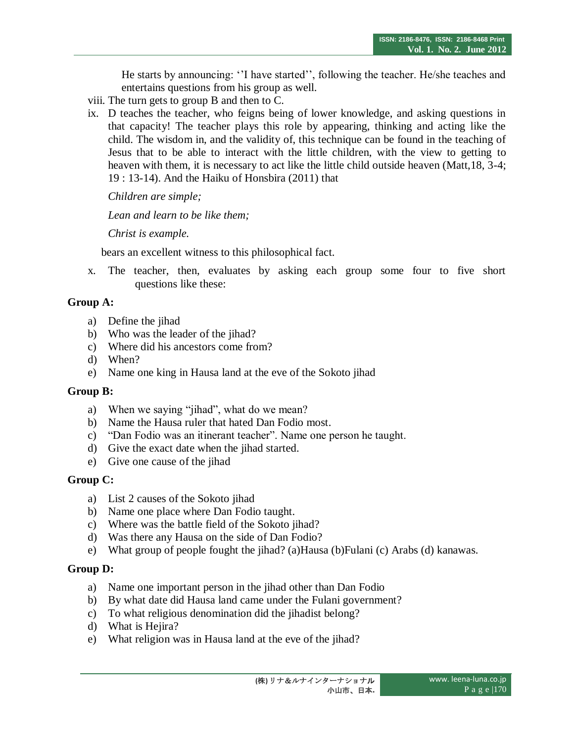He starts by announcing: "I have started", following the teacher. He/she teaches and entertains questions from his group as well.

- viii. The turn gets to group B and then to C.
- ix. D teaches the teacher, who feigns being of lower knowledge, and asking questions in that capacity! The teacher plays this role by appearing, thinking and acting like the child. The wisdom in, and the validity of, this technique can be found in the teaching of Jesus that to be able to interact with the little children, with the view to getting to heaven with them, it is necessary to act like the little child outside heaven (Matt,18, 3-4; 19 : 13-14). And the Haiku of Honsbira (2011) that

*Children are simple;*

*Lean and learn to be like them;*

*Christ is example.*

bears an excellent witness to this philosophical fact.

x. The teacher, then, evaluates by asking each group some four to five short questions like these:

## **Group A:**

- a) Define the jihad
- b) Who was the leader of the jihad?
- c) Where did his ancestors come from?
- d) When?
- e) Name one king in Hausa land at the eve of the Sokoto jihad

## **Group B:**

- a) When we saying "jihad", what do we mean?
- b) Name the Hausa ruler that hated Dan Fodio most.
- c) "Dan Fodio was an itinerant teacher". Name one person he taught.
- d) Give the exact date when the jihad started.
- e) Give one cause of the jihad

## **Group C:**

- a) List 2 causes of the Sokoto jihad
- b) Name one place where Dan Fodio taught.
- c) Where was the battle field of the Sokoto jihad?
- d) Was there any Hausa on the side of Dan Fodio?
- e) What group of people fought the jihad? (a)Hausa (b)Fulani (c) Arabs (d) kanawas.

## **Group D:**

- a) Name one important person in the jihad other than Dan Fodio
- b) By what date did Hausa land came under the Fulani government?
- c) To what religious denomination did the jihadist belong?
- d) What is Hejira?
- e) What religion was in Hausa land at the eve of the jihad?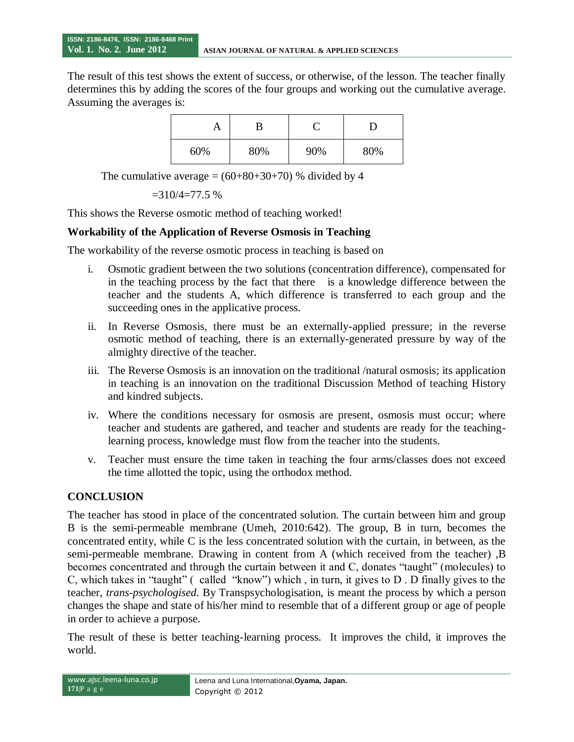**Vol. 1. No. 2. June 2012 ASIAN JOURNAL OF NATURAL & APPLIED SCIENCES**

The result of this test shows the extent of success, or otherwise, of the lesson. The teacher finally determines this by adding the scores of the four groups and working out the cumulative average. Assuming the averages is:

|     | B   |     |     |
|-----|-----|-----|-----|
| 60% | 80% | 90% | 80% |

The cumulative average  $= (60+80+30+70)$  % divided by 4

$$
=310/4=77.5\%
$$

This shows the Reverse osmotic method of teaching worked!

#### **Workability of the Application of Reverse Osmosis in Teaching**

The workability of the reverse osmotic process in teaching is based on

- i. Osmotic gradient between the two solutions (concentration difference), compensated for in the teaching process by the fact that there is a knowledge difference between the teacher and the students A, which difference is transferred to each group and the succeeding ones in the applicative process.
- ii. In Reverse Osmosis, there must be an externally-applied pressure; in the reverse osmotic method of teaching, there is an externally-generated pressure by way of the almighty directive of the teacher.
- iii. The Reverse Osmosis is an innovation on the traditional /natural osmosis; its application in teaching is an innovation on the traditional Discussion Method of teaching History and kindred subjects.
- iv. Where the conditions necessary for osmosis are present, osmosis must occur; where teacher and students are gathered, and teacher and students are ready for the teachinglearning process, knowledge must flow from the teacher into the students.
- v. Teacher must ensure the time taken in teaching the four arms/classes does not exceed the time allotted the topic, using the orthodox method.

#### **CONCLUSION**

The teacher has stood in place of the concentrated solution. The curtain between him and group B is the semi-permeable membrane (Umeh, 2010:642). The group, B in turn, becomes the concentrated entity, while C is the less concentrated solution with the curtain, in between, as the semi-permeable membrane. Drawing in content from A (which received from the teacher) ,B becomes concentrated and through the curtain between it and C, donates "taught" (molecules) to C, which takes in "taught" ( called "know") which , in turn, it gives to D . D finally gives to the teacher, *trans-psychologised*. By Transpsychologisation, is meant the process by which a person changes the shape and state of his/her mind to resemble that of a different group or age of people in order to achieve a purpose.

The result of these is better teaching-learning process. It improves the child, it improves the world.